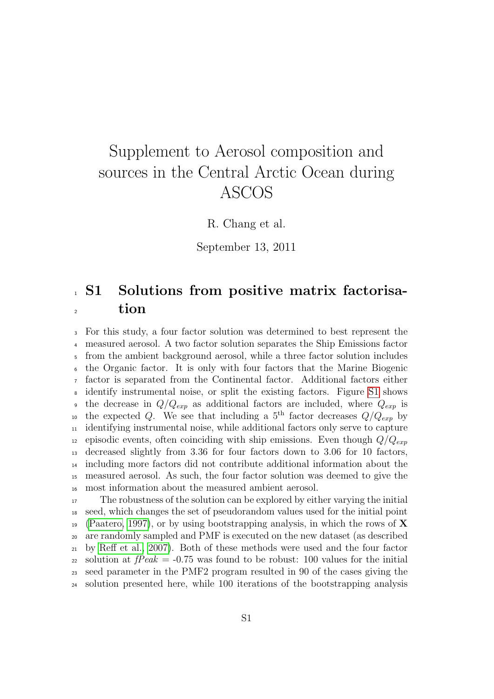## Supplement to Aerosol composition and sources in the Central Arctic Ocean during ASCOS

R. Chang et al.

September 13, 2011

## <sup>1</sup> S1 Solutions from positive matrix factorisa-<sup>2</sup> tion

 For this study, a four factor solution was determined to best represent the measured aerosol. A two factor solution separates the Ship Emissions factor from the ambient background aerosol, while a three factor solution includes the Organic factor. It is only with four factors that the Marine Biogenic factor is separated from the Continental factor. Additional factors either identify instrumental noise, or split the existing factors. Figure [S1](#page-1-0) shows the decrease in  $Q/Q_{exp}$  as additional factors are included, where  $Q_{exp}$  is the expected Q. We see that including a 5<sup>th</sup> factor decreases  $Q/Q_{exp}$  by identifying instrumental noise, while additional factors only serve to capture <sup>12</sup> episodic events, often coinciding with ship emissions. Even though  $Q/Q_{exp}$  decreased slightly from 3.36 for four factors down to 3.06 for 10 factors, including more factors did not contribute additional information about the measured aerosol. As such, the four factor solution was deemed to give the most information about the measured ambient aerosol.

 The robustness of the solution can be explored by either varying the initial seed, which changes the set of pseudorandom values used for the initial point <sup>19</sup> [\(Paatero, 1997\)](#page-3-0), or by using bootstrapping analysis, in which the rows of **X**  are randomly sampled and PMF is executed on the new dataset (as described by [Reff et al., 2007\)](#page-3-1). Both of these methods were used and the four factor 22 solution at  $fPeak = -0.75$  was found to be robust: 100 values for the initial seed parameter in the PMF2 program resulted in 90 of the cases giving the solution presented here, while 100 iterations of the bootstrapping analysis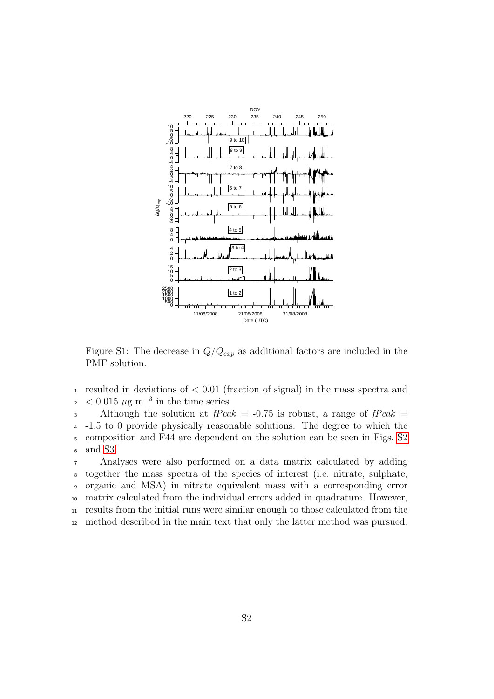

<span id="page-1-0"></span>Figure S1: The decrease in  $Q/Q_{exp}$  as additional factors are included in the PMF solution.

<sup>1</sup> resulted in deviations of  $< 0.01$  (fraction of signal) in the mass spectra and  $\mu$  < 0.015  $\mu$ g m<sup>-3</sup> in the time series.

3 Although the solution at  $fPeak = -0.75$  is robust, a range of  $fPeak = -0.75$ <sup>4</sup> -1.5 to 0 provide physically reasonable solutions. The degree to which the <sup>5</sup> composition and F44 are dependent on the solution can be seen in Figs. [S2](#page-2-0) <sup>6</sup> and [S3.](#page-2-1)

 Analyses were also performed on a data matrix calculated by adding together the mass spectra of the species of interest (i.e. nitrate, sulphate, organic and MSA) in nitrate equivalent mass with a corresponding error matrix calculated from the individual errors added in quadrature. However, results from the initial runs were similar enough to those calculated from the method described in the main text that only the latter method was pursued.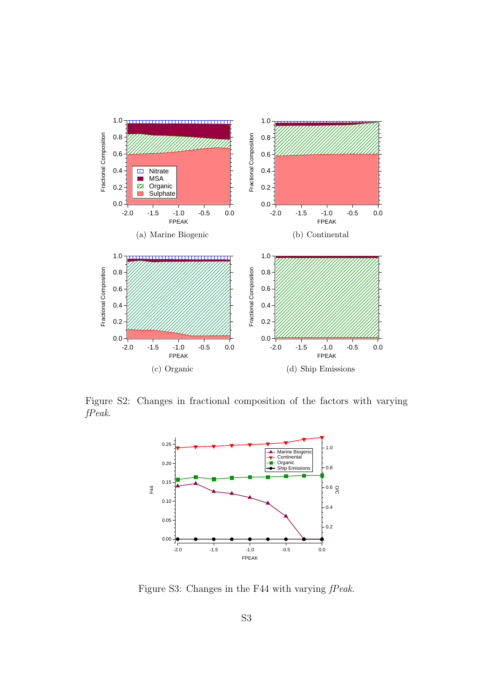

Figure S2: Changes in fractional composition of the factors with varying fPeak.

<span id="page-2-0"></span>

<span id="page-2-1"></span>Figure S3: Changes in the F44 with varying  $fPeak$ .